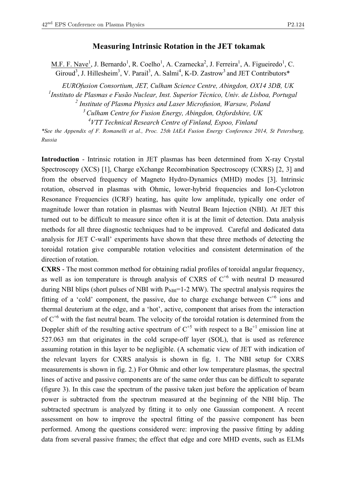## **Measuring Intrinsic Rotation in the JET tokamak**

M.F. F. Nave<sup>1</sup>, J. Bernardo<sup>1</sup>, R. Coelho<sup>1</sup>, A. Czarnecka<sup>2</sup>, J. Ferreira<sup>1</sup>, A. Figueiredo<sup>1</sup>, C. Giroud<sup>3</sup>, J. Hillesheim<sup>3</sup>, V. Parail<sup>3</sup>, A. Salmi<sup>4</sup>, K-D. Zastrow<sup>3</sup> and JET Contributors\*

*EUROfusion Consortium, JET, Culham Science Centre, Abingdon, OX14 3DB, UK*

*1 Instituto de Plasmas e Fusão Nuclear, Inst. Superior Técnico, Univ. de Lisboa, Portugal*

*<sup>2</sup> Institute of Plasma Physics and Laser Microfusion, Warsaw, Poland*

*<sup>3</sup> Culham Centre for Fusion Energy, Abingdon, Oxfordshire, UK*

*4 VTT Technical Research Centre of Finland, Espoo, Finland*

*\*See the Appendix of F. Romanelli et al., Proc. 25th IAEA Fusion Energy Conference 2014, St Petersburg, Russia*

**Introduction** - Intrinsic rotation in JET plasmas has been determined from X-ray Crystal Spectroscopy (XCS) [1], Charge eXchange Recombination Spectroscopy (CXRS) [2, 3] and from the observed frequency of Magneto Hydro-Dynamics (MHD) modes [3]. Intrinsic rotation, observed in plasmas with Ohmic, lower-hybrid frequencies and Ion-Cyclotron Resonance Frequencies (ICRF) heating, has quite low amplitude, typically one order of magnitude lower than rotation in plasmas with Neutral Beam Injection (NBI). At JET this turned out to be difficult to measure since often it is at the limit of detection. Data analysis methods for all three diagnostic techniques had to be improved. Careful and dedicated data analysis for JET C-wall' experiments have shown that these three methods of detecting the toroidal rotation give comparable rotation velocities and consistent determination of the direction of rotation.

**CXRS** - The most common method for obtaining radial profiles of toroidal angular frequency, as well as ion temperature is through analysis of CXRS of  $C^{+6}$  with neutral D measured during NBI blips (short pulses of NBI with  $P_{NBI}=1-2$  MW). The spectral analysis requires the fitting of a 'cold' component, the passive, due to charge exchange between  $C^{+6}$  ions and thermal deuterium at the edge, and a 'hot', active, component that arises from the interaction of  $C^{+6}$  with the fast neutral beam. The velocity of the toroidal rotation is determined from the Doppler shift of the resulting active spectrum of  $C^{+5}$  with respect to a Be<sup>+1</sup> emission line at 527.063 nm that originates in the cold scrape-off layer (SOL), that is used as reference assuming rotation in this layer to be negligible. (A schematic view of JET with indication of the relevant layers for CXRS analysis is shown in fig. 1. The NBI setup for CXRS measurements is shown in fig. 2.) For Ohmic and other low temperature plasmas, the spectral lines of active and passive components are of the same order thus can be difficult to separate (figure 3). In this case the spectrum of the passive taken just before the application of beam power is subtracted from the spectrum measured at the beginning of the NBI blip. The subtracted spectrum is analyzed by fitting it to only one Gaussian component. A recent assessment on how to improve the spectral fitting of the passive component has been performed. Among the questions considered were: improving the passive fitting by adding data from several passive frames; the effect that edge and core MHD events, such as ELMs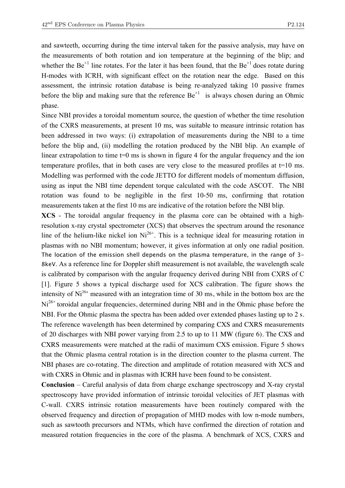and sawteeth, occurring during the time interval taken for the passive analysis, may have on the measurements of both rotation and ion temperature at the beginning of the blip; and whether the  $Be^{+1}$  line rotates. For the later it has been found, that the  $Be^{+1}$  does rotate during H-modes with ICRH, with significant effect on the rotation near the edge. Based on this assessment, the intrinsic rotation database is being re-analyzed taking 10 passive frames before the blip and making sure that the reference  $Be^{+1}$  is always chosen during an Ohmic phase.

Since NBI provides a toroidal momentum source, the question of whether the time resolution of the CXRS measurements, at present 10 ms, was suitable to measure intrinsic rotation has been addressed in two ways: (i) extrapolation of measurements during the NBI to a time before the blip and, (ii) modelling the rotation produced by the NBI blip. An example of linear extrapolation to time  $t=0$  ms is shown in figure 4 for the angular frequency and the ion temperature profiles, that in both cases are very close to the measured profiles at  $t=10$  ms. Modelling was performed with the code JETTO for different models of momentum diffusion, using as input the NBI time dependent torque calculated with the code ASCOT. The NBI rotation was found to be negligible in the first 10-50 ms, confirming that rotation measurements taken at the first 10 ms are indicative of the rotation before the NBI blip.

**XCS** - The toroidal angular frequency in the plasma core can be obtained with a highresolution x-ray crystal spectrometer (XCS) that observes the spectrum around the resonance line of the helium-like nickel ion  $Ni^{26+}$ . This is a technique ideal for measuring rotation in plasmas with no NBI momentum; however, it gives information at only one radial position. The location of the emission shell depends on the plasma temperature, in the range of 3- 8keV. As a reference line for Doppler shift measurement is not available, the wavelength scale is calibrated by comparison with the angular frequency derived during NBI from CXRS of C [1]. Figure 5 shows a typical discharge used for XCS calibration. The figure shows the intensity of  $Ni<sup>26+</sup>$  measured with an integration time of 30 ms, while in the bottom box are the Ni<sup>26+</sup> toroidal angular frequencies, determined during NBI and in the Ohmic phase before the NBI. For the Ohmic plasma the spectra has been added over extended phases lasting up to 2 s. The reference wavelength has been determined by comparing CXS and CXRS measurements of 20 discharges with NBI power varying from 2.5 to up to 11 MW (figure 6). The CXS and CXRS measurements were matched at the radii of maximum CXS emission. Figure 5 shows that the Ohmic plasma central rotation is in the direction counter to the plasma current. The NBI phases are co-rotating. The direction and amplitude of rotation measured with XCS and with CXRS in Ohmic and in plasmas with ICRH have been found to be consistent.

**Conclusion** – Careful analysis of data from charge exchange spectroscopy and X-ray crystal spectroscopy have provided information of intrinsic toroidal velocities of JET plasmas with C-wall. CXRS intrinsic rotation measurements have been routinely compared with the observed frequency and direction of propagation of MHD modes with low n-mode numbers, such as sawtooth precursors and NTMs, which have confirmed the direction of rotation and measured rotation frequencies in the core of the plasma. A benchmark of XCS, CXRS and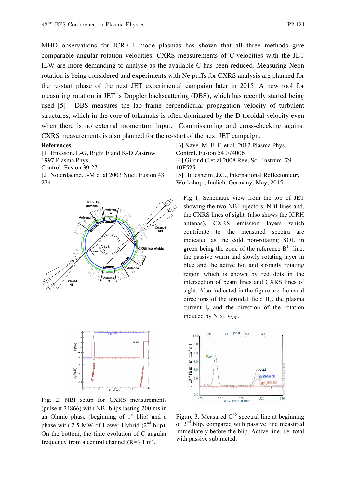MHD observations for ICRF L-mode plasmas has shown that all three methods give comparable angular rotation velocities. CXRS measurements of C-velocities with the JET ILW are more demanding to analyse as the available C has been reduced. Measuring Neon rotation is being considered and experiments with Ne puffs for CXRS analysis are planned for the re-start phase of the next JET experimental campaign later in 2015. A new tool for measuring rotation in JET is Doppler backscattering (DBS), which has recently started being used [5]. DBS measures the lab frame perpendicular propagation velocity of turbulent structures, which in the core of tokamaks is often dominated by the D toroidal velocity even when there is no external momentum input. Commissioning and cross-checking against CXRS measurements is also planned for the re-start of the next JET campaign.

## **References**

[1] Eriksson, L-G, Righi E and K-D Zastrow 1997 Plasma Phys. Control. Fusion 39 27 [2] Noterdaeme, J-M et al 2003 Nucl. Fusion 43 274





Fig. 2. NBI setup for CXRS measurements (pulse # 74866) with NBI blips lasting 200 ms in an Ohmic phase (beginning of  $1<sup>st</sup>$  blip) and a phase with 2.5 MW of Lower Hybrid  $(2<sup>nd</sup> blip)$ . On the bottom, the time evolution of C angular frequency from a central channel  $(R=3.1 \text{ m})$ .

[3] Nave, M. F. F. et al. 2012 Plasma Phys. Control. Fusion 54 074006 [4] Giroud C et al 2008 Rev. Sci. Instrum. 79 10F525 [5] Hillesheim, J.C., International Reflectometry

Workshop , Juelich, Germany, May, 2015

Fig 1. Schematic view from the top of JET showing the two NBI injectors, NBI lines and, the CXRS lines of sight. (also shows the ICRH antenas). CXRS emission layers which contribute to the measured spectra are indicated as the cold non-rotating SOL in green being the zone of the reference  $B<sup>1+</sup>$  line, the passive warm and slowly rotating layer in blue and the active hot and strongly rotating region which is shown by red dots in the intersection of beam lines and CXRS lines of sight. Also indicated in the figure are the usual directions of the toroidal field  $B_T$ , the plasma current  $I_n$  and the direction of the rotation induced by NBI,  $v_{NBI}$ .



Figure 3. Measured  $C^{+5}$  spectral line at beginning of  $2<sup>nd</sup>$  blip, compared with passive line measured immediately before the blip. Active line, i.e. total with passive subtracted.